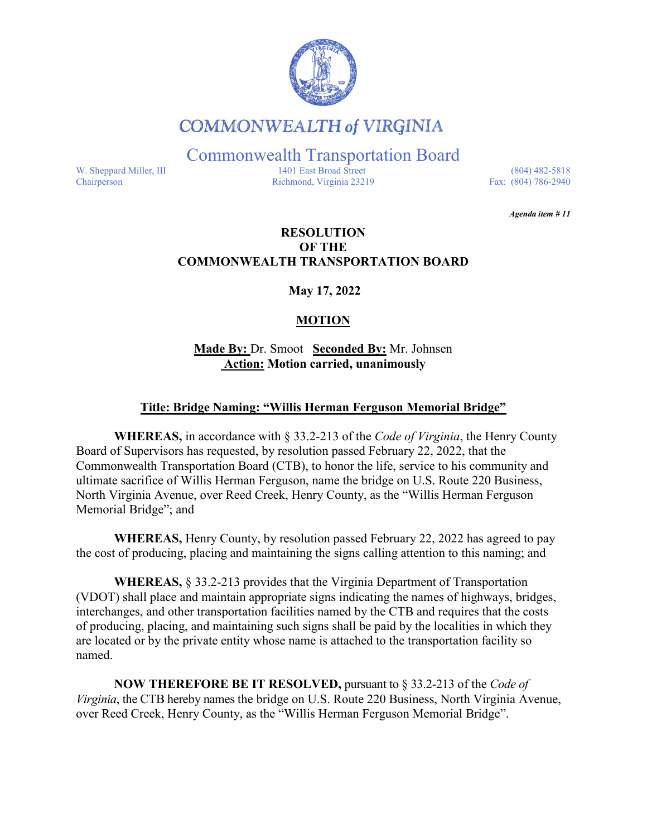

## **COMMONWEALTH of VIRGINIA**

Commonwealth Transportation Board

W. Sheppard Miller, III 1401 East Broad Street (804) 482-5818<br>Chairperson Richmond, Virginia 23219 Fax: (804) 786-2940 Richmond, Virginia 23219

*Agenda item # 11* 

#### **RESOLUTION OF THE COMMONWEALTH TRANSPORTATION BOARD**

**May 17, 2022**

### **MOTION**

**Made By:** Dr. Smoot **Seconded By:** Mr. Johnsen **Action: Motion carried, unanimously**

#### **Title: Bridge Naming: "Willis Herman Ferguson Memorial Bridge"**

**WHEREAS,** in accordance with § 33.2-213 of the *Code of Virginia*, the Henry County Board of Supervisors has requested, by resolution passed February 22, 2022, that the Commonwealth Transportation Board (CTB), to honor the life, service to his community and ultimate sacrifice of Willis Herman Ferguson, name the bridge on U.S. Route 220 Business, North Virginia Avenue, over Reed Creek, Henry County, as the "Willis Herman Ferguson Memorial Bridge"; and

**WHEREAS,** Henry County, by resolution passed February 22, 2022 has agreed to pay the cost of producing, placing and maintaining the signs calling attention to this naming; and

**WHEREAS,** § 33.2-213 provides that the Virginia Department of Transportation (VDOT) shall place and maintain appropriate signs indicating the names of highways, bridges, interchanges, and other transportation facilities named by the CTB and requires that the costs of producing, placing, and maintaining such signs shall be paid by the localities in which they are located or by the private entity whose name is attached to the transportation facility so named.

**NOW THEREFORE BE IT RESOLVED,** pursuant to § 33.2-213 of the *Code of Virginia*, the CTB hereby names the bridge on U.S. Route 220 Business, North Virginia Avenue, over Reed Creek, Henry County, as the "Willis Herman Ferguson Memorial Bridge".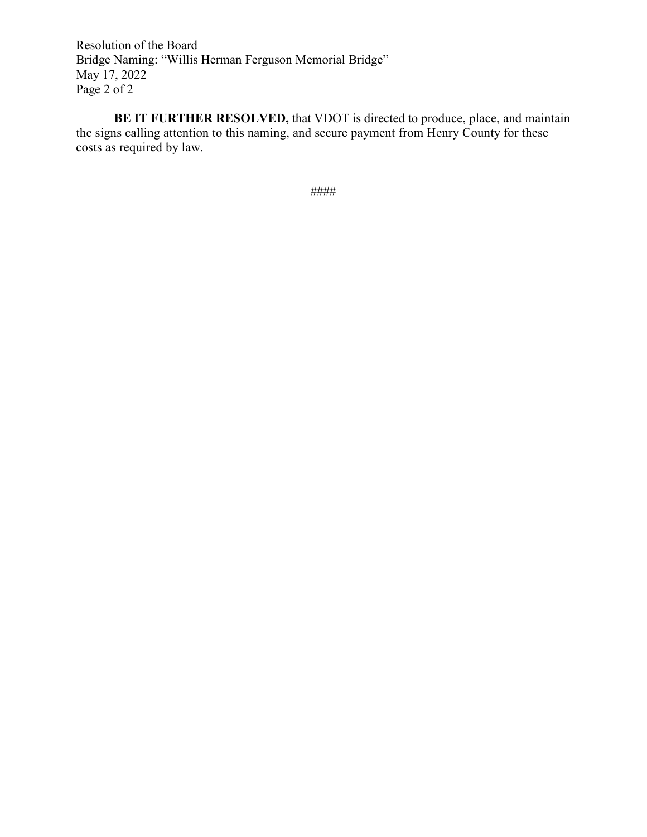Resolution of the Board Bridge Naming: "Willis Herman Ferguson Memorial Bridge" May 17, 2022 Page 2 of 2

**BE IT FURTHER RESOLVED,** that VDOT is directed to produce, place, and maintain the signs calling attention to this naming, and secure payment from Henry County for these costs as required by law.

####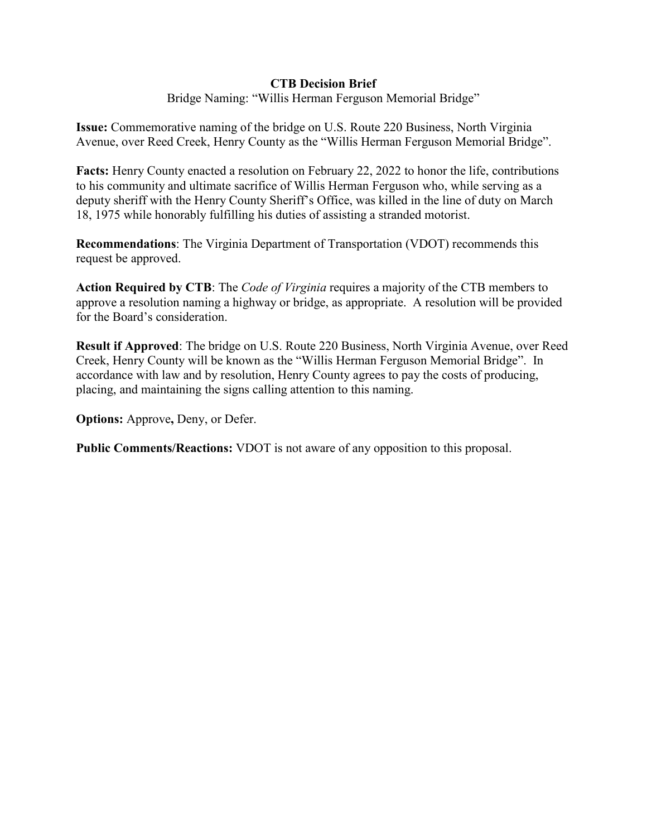#### **CTB Decision Brief**

Bridge Naming: "Willis Herman Ferguson Memorial Bridge"

**Issue:** Commemorative naming of the bridge on U.S. Route 220 Business, North Virginia Avenue, over Reed Creek, Henry County as the "Willis Herman Ferguson Memorial Bridge".

**Facts:** Henry County enacted a resolution on February 22, 2022 to honor the life, contributions to his community and ultimate sacrifice of Willis Herman Ferguson who, while serving as a deputy sheriff with the Henry County Sheriff's Office, was killed in the line of duty on March 18, 1975 while honorably fulfilling his duties of assisting a stranded motorist.

**Recommendations**: The Virginia Department of Transportation (VDOT) recommends this request be approved.

**Action Required by CTB**: The *Code of Virginia* requires a majority of the CTB members to approve a resolution naming a highway or bridge, as appropriate. A resolution will be provided for the Board's consideration.

**Result if Approved**: The bridge on U.S. Route 220 Business, North Virginia Avenue, over Reed Creek, Henry County will be known as the "Willis Herman Ferguson Memorial Bridge". In accordance with law and by resolution, Henry County agrees to pay the costs of producing, placing, and maintaining the signs calling attention to this naming.

**Options:** Approve**,** Deny, or Defer.

**Public Comments/Reactions:** VDOT is not aware of any opposition to this proposal.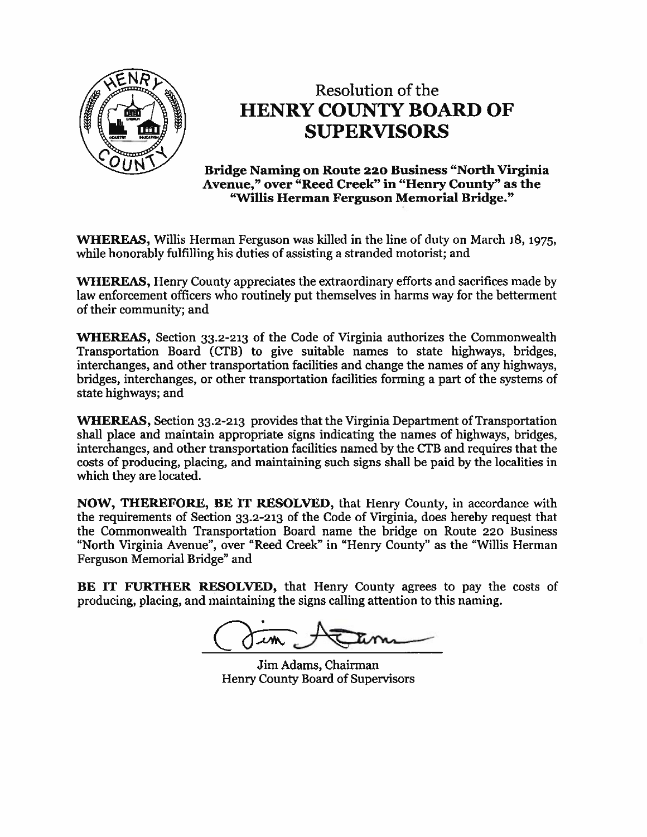

# Resolution of the **HENRY COUNTY BOARD OF SUPERVISORS**

**Bridge Naming on Route 220 Business "North Virginia"** Avenue," over "Reed Creek" in "Henry County" as the "Willis Herman Ferguson Memorial Bridge."

**WHEREAS, Willis Herman Ferguson was killed in the line of duty on March 18, 1975,** while honorably fulfilling his duties of assisting a stranded motorist; and

**WHEREAS, Henry County appreciates the extraordinary efforts and sacrifices made by** law enforcement officers who routinely put themselves in harms way for the betterment of their community; and

**WHEREAS**, Section 33.2-213 of the Code of Virginia authorizes the Commonwealth Transportation Board (CTB) to give suitable names to state highways, bridges, interchanges, and other transportation facilities and change the names of any highways, bridges, interchanges, or other transportation facilities forming a part of the systems of state highways; and

**WHEREAS, Section 33.2-213 provides that the Virginia Department of Transportation** shall place and maintain appropriate signs indicating the names of highways, bridges, interchanges, and other transportation facilities named by the CTB and requires that the costs of producing, placing, and maintaining such signs shall be paid by the localities in which they are located.

NOW, THEREFORE, BE IT RESOLVED, that Henry County, in accordance with the requirements of Section 33.2-213 of the Code of Virginia, does hereby request that the Commonwealth Transportation Board name the bridge on Route 220 Business "North Virginia Avenue", over "Reed Creek" in "Henry County" as the "Willis Herman Ferguson Memorial Bridge" and

BE IT FURTHER RESOLVED, that Henry County agrees to pay the costs of producing, placing, and maintaining the signs calling attention to this naming.

Jim Adams, Chairman **Henry County Board of Supervisors**